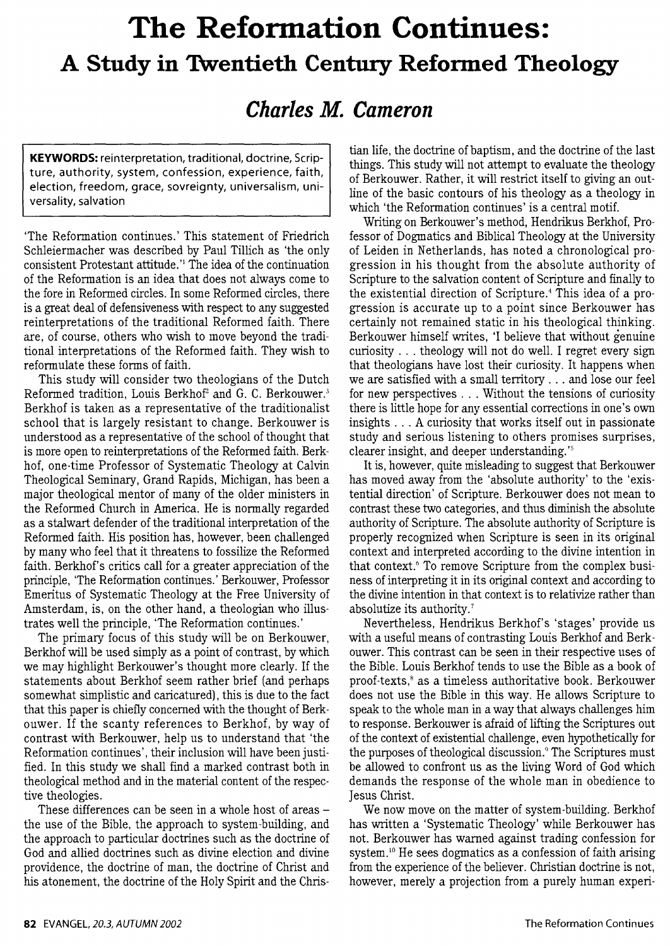## **The Reformation Continues: A Study in Twentieth Century Refonned Theology**

## *Charles* **M.** *Cameron*

**KEYWORDS:** reinterpretation, traditional, doctrine, Scripture, authority, system, confession, experience, faith, election, freedom, grace, sovreignty, universalism, universality, salvation

'The Reformation continues.' This statement of Friedrich Schleiermacher was described by Paul Tillich as 'the only consistent Protestant attitude.<sup>1</sup> The idea of the continuation of the Reformation is an idea that does not always come to the fore in Reformed circles. In some Reformed circles, there is a great deal of defensiveness with respect to any suggested reinterpretations of the traditional Reformed faith. There are, of course, others who wish to move beyond the traditional interpretations of the Reformed faith. They wish to reformulate these forms of faith.

This study will consider two theologians of the Dutch Reformed tradition, Louis Berkhof<sup>2</sup> and G. C. Berkouwer.<sup>3</sup> Berkhof is taken as a representative of the traditionalist school that is largely resistant to change. Berkouwer is understood as a representative of the school of thought that is more open to reinterpretations of the Reformed faith. Berkhof, one-time Professor of Systematic Theology at Calvin Theological Seminary, Grand Rapids, Michigan, has been a major theological mentor of many of the older ministers in the Reformed Church in America. He is normally regarded as a stalwart defender of the traditional interpretation of the Reformed faith. His position has, however, been challenged by many who feel that it threatens to fossilize the Reformed faith. Berkhof's critics call for a greater appreciation of the principle, 'The Reformation continues.' Berkouwer, Professor Emeritus of Systematic Theology at the Free University of Amsterdam, is, on the other hand, a theologian who illustrates well the principle, 'The Reformation continues.'

The primary focus of this study will be on Berkouwer, Berkhof will be used simply as a point of contrast, by which we may highlight Berkouwer's thought more clearly. If the statements about Berkhof seem rather brief (and perhaps somewhat simplistic and caricatured), this is due to the fact that this paper is chiefly concerned with the thought of Berkouwer. If the scanty references to Berkhof, by way of contrast with Berkouwer, help us to understand that 'the Reformation continues', their inclusion will have been justified. In this study we shall find a marked contrast both in theological method and in the material content of the respective theologies.

These differences can be seen in a whole host of areas  $$ the use of the Bible, the approach to system-building, and the approach to particular doctrines such as the doctrine of God and allied doctrines such as divine election and divine providence, the doctrine of man, the doctrine of Christ and his atonement, the doctrine of the Holy Spirit and the Christian life, the doctrine of baptism, and the doctrine of the last things. This study will not attempt to evaluate the theology of Berkouwer. Rather, it will restrict itself to giving an outline of the basic contours of his theology as a theology in which 'the Reformation continues' is a central motif.

Writing on Berkouwer's method, Hendrikus Berkhof, Professor of Dogmatics and Biblical Theology at the University of Leiden in Netherlands, has noted a chronological progression in his thought from the absolute authority of Scripture to the salvation content of Scripture and finally to the existential direction of Scripture. 4 This idea of a progression is accurate up to a point since Berkouwer has certainly not remained static in his theological thinking. Berkouwer himself writes, 'I believe that without genuine curiosity ... theology will not do well. I regret every sign that theologians have lost their curiosity. It happens when we are satisfied with a small territory ... and lose our feel for new perspectives ... Without the tensions of curiosity there is little hope for any essential corrections in one's own insights ... A curiosity that works itself out in passionate study and serious listening to others promises surprises, clearer insight, and deeper understanding.<sup>'5</sup>

It is, however, quite misleading to suggest that Berkouwer has moved away from the 'absolute authority' to the 'existential direction' of Scripture. Berkouwer does not mean to contrast these two categories, and thus diminish the absolute authority of Scripture. The absolute authority of Scripture is properly recognized when Scripture is seen in its original context and interpreted according to the divine intention in that context.<sup>6</sup> To remove Scripture from the complex business of interpreting it in its original context and according to the divine intention in that context is to relativize rather than absolutize its authority. <sup>7</sup>

Nevertheless, Hendrikus Berkhof's 'stages' provide us with a useful means of contrasting Louis Berkhof and Berkouwer. This contrast can be seen in their respective uses of the Bible. Louis Berkhof tends to use the Bible as a book of proof-texts,8 as a timeless authoritative book. Berkouwer does not use the Bible in this way. He allows Scripture to speak to the whole man in a way that always challenges him to response. Berkouwer is afraid of lifting the Scriptures out of the context of existential challenge, even hypothetically for the purposes of theological discussion. 9 The Scriptures must be allowed to confront us as the living Word of God which demands the response of the whole man in obedience to Jesus Christ.

We now move on the matter of system-building. Berkhof has written a 'Systematic Theology' while Berkouwer has not. Berkouwer has warned against trading confession for system.<sup>10</sup> He sees dogmatics as a confession of faith arising from the experience of the believer. Christian doctrine is not, however, merely a projection from a purely human experi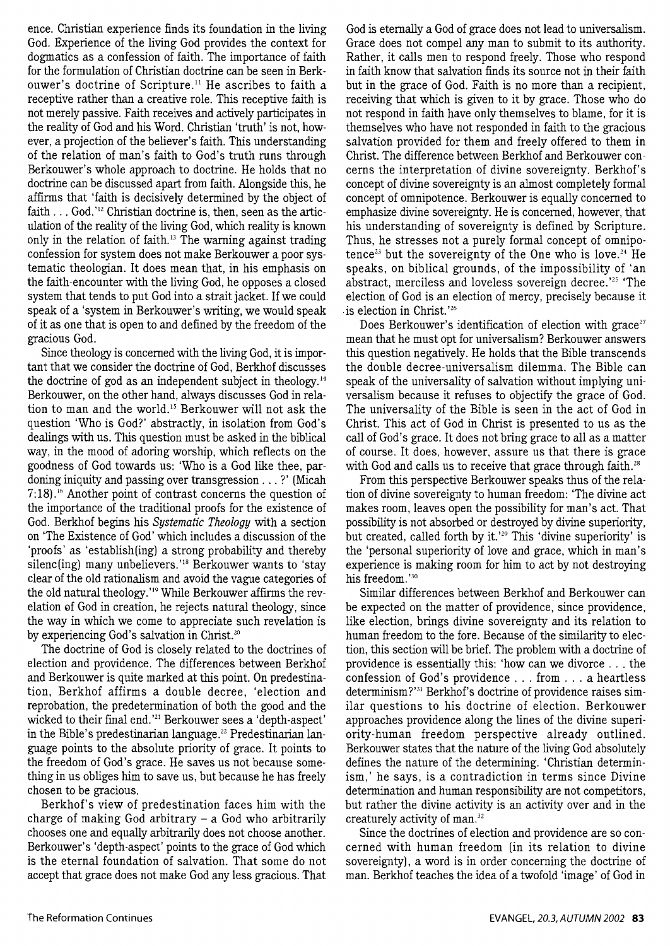ence. Christian experience finds its foundation in the living God. Experience of the living God provides the context for dogmatics as a confession of faith. The importance of faith for the formulation of Christian doctrine can be seen in Berkouwer's doctrine of Scripture.<sup>11</sup> He ascribes to faith a receptive rather than a creative role. This receptive faith is not merely passive. Faith receives and actively participates in the reality of God and his Word. Christian 'truth' is not, however, a projection of the believer's faith. This understanding of the relation of man's faith to God's truth runs through Berkouwer's whole approach to doctrine. He holds that no doctrine can be discussed apart from faith. Alongside this, he affirms that 'faith is decisively determined by the object of faith  $\ldots$  God.'<sup>12</sup> Christian doctrine is, then, seen as the articulation of the reality of the living God, which reality is known only in the relation of faith. 13 The warning against trading confession for system does not make Berkouwer a poor systematic theologian. It does mean that, in his emphasis on the faith-encounter with the living God, he opposes a closed system that tends to put God into a strait jacket. If we could speak of a 'system in Berkouwer's writing, we would speak of it as one that is open to and defined by the freedom of the gracious God.

Since theology is concerned with the living God, it is important that we consider the doctrine of God, Berkhof discusses the doctrine of god as an independent subject in theology.<sup>14</sup> Berkouwer, on the other hand, always discusses God in relation to man and the world. 15 Berkouwer will not ask the question 'Who is God?' abstractly, in isolation from God's dealings with us. This question must be asked in the biblical way, in the mood of adoring worship, which reflects on the goodness of God towards us: 'Who is a God like thee, pardoning iniquity and passing over transgression ... ?' (Micah 7:18). 16 Another point of contrast concerns the question of the importance of the traditional proofs for the existence of God. Berkhof begins his *Systematic Theology* with a section on 'The Existence of God' which includes a discussion of the 'proofs' as 'establish(ing) a strong probability and thereby silenc(ing) many unbelievers.<sup>'18</sup> Berkouwer wants to 'stay clear of the old rationalism and avoid the vague categories of the old natural theology.'<sup>19</sup> While Berkouwer affirms the revelation of God in creation, he rejects natural theology, since the way in which we come to appreciate such revelation is by experiencing God's salvation in Christ.<sup>20</sup>

The doctrine of God is closely related to the doctrines of election and providence. The differences between Berkhof and Berkouwer is quite marked at this point. On predestination, Berkhof affirms a double decree, 'election and reprobation, the predetermination of both the good and the wicked to their final end.<sup>'21</sup> Berkouwer sees a 'depth-aspect' in the Bible's predestinarian language. 22 Predestinarian language points to the absolute priority of grace. It points to the freedom of God's grace. He saves us not because something in us obliges him to save us, but because he has freely chosen to be gracious.

Berkhof's view of predestination faces him with the charge of making God arbitrary  $-$  a God who arbitrarily chooses one and equally arbitrarily does not choose another. Berkouwer's 'depth-aspect' points to the grace of God which is the eternal foundation of salvation. That some do not accept that grace does not make God any less gracious. That

God is eternally a God of grace does not lead to universalism. Grace does not compel any man to submit to its authority. Rather, it calls men to respond freely. Those who respond in faith know that salvation finds its source not in their faith but in the grace of God. Faith is no more than a recipient, receiving that which is given to it by grace. Those who do not respond in faith have only themselves to blame, for it is themselves who have not responded in faith to the gracious salvation provided for them and freely offered to them in Christ. The difference between Berkhof and Berkouwer concerns the interpretation of divine sovereignty. Berkhof's concept of divine sovereignty is an almost completely formal concept of omnipotence. Berkouwer is equally concerned to emphasize divine sovereignty. He is concerned, however, that his understanding of sovereignty is defined by Scripture. Thus, he stresses not a purely formal concept of omnipotence<sup>23</sup> but the sovereignty of the One who is love.<sup>24</sup> He speaks, on biblical grounds, of the impossibility of 'an abstract, merciless and loveless sovereign decree. ' 25 'The election of God is an election of mercy, precisely because it . is election in Christ. ' 26

Does Berkouwer's identification of election with grace<sup>27</sup> mean that he must opt for universalism? Berkouwer answers this question negatively. He holds that the Bible transcends the double decree-universalism dilemma. The Bible can speak of the universality of salvation without implying universalism because it refuses to objectify the grace of God. The universality of the Bible is seen in the act of God in Christ. This act of God in Christ is presented to us as the call of God's grace. It does not bring grace to all as a matter of course. It does, however, assure us that there is grace with God and calls us to receive that grace through faith.<sup>28</sup>

From this perspective Berkouwer speaks thus of the relation of divine sovereignty to human freedom: 'The divine act makes room, leaves open the possibility for man's act. That possibility is not absorbed or destroyed by divine superiority, but created, called forth by it.'<sup>29</sup> This 'divine superiority' is the 'personal superiority of love and grace, which in man's experience is making room for him to act by not destroying his freedom. ' 30

Similar differences between Berkhof and Berkouwer can be expected on the matter of providence, since providence, like election, brings divine sovereignty and its relation to human freedom to the fore. Because of the similarity to election, this section will be brief. The problem with a doctrine of providence is essentially this: 'how can we divorce ... the confession of God's providence ... from ... a heartless determinism?'<sup>31</sup> Berkhof's doctrine of providence raises similar questions to his doctrine of election. Berkouwer approaches providence along the lines of the divine superiority-human freedom perspective already outlined. Berkouwer states that the nature of the living God absolutely defines the nature of the determining. 'Christian determinism,' he says, is a contradiction in terms since Divine determination and human responsibility are not competitors, but rather the divine activity is an activity over and in the creaturely activity of man. 32

Since the doctrines of election and providence are so concerned with human freedom (in its relation to divine sovereignty), a word is in order concerning the doctrine of man. Berkhof teaches the idea of a twofold 'image' of God in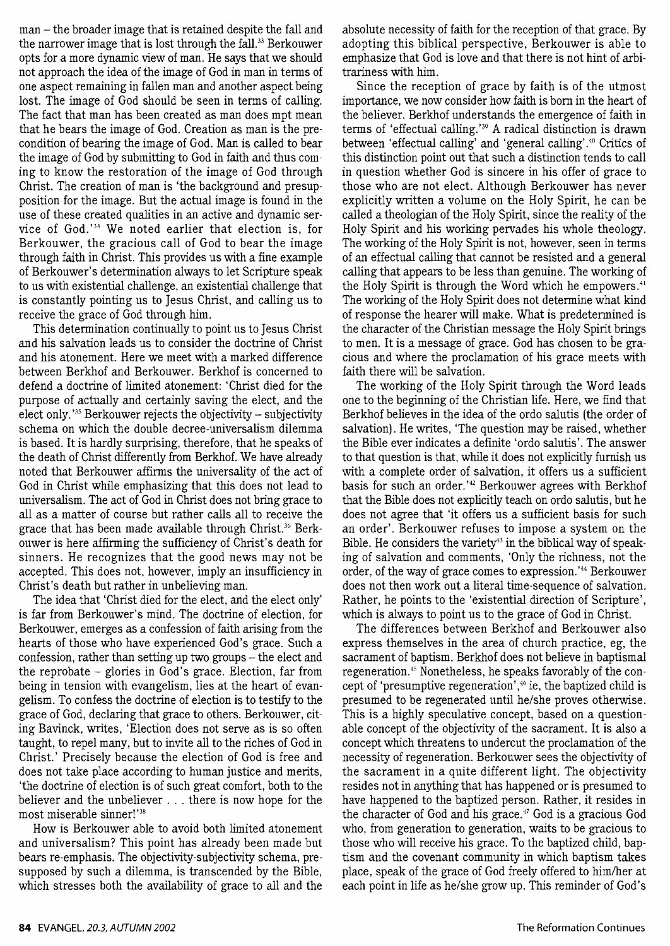man – the broader image that is retained despite the fall and the narrower image that is lost through the fall.<sup>33</sup> Berkouwer opts for a more dynamic view of man. He says that we should not approach the idea of the image of God in man in terms of one aspect remaining in fallen man and another aspect being lost. The image of God should be seen in terms of calling. The fact that man has been created as man does mpt mean that he bears the image of God. Creation as man is the precondition of bearing the image of God. Man is called to bear the image of God by submitting to God in faith and thus coming to know the restoration of the image of God through Christ. The creation of man is 'the background and presupposition for the image. But the actual image is found in the use of these created qualities in an active and dynamic service of God.'<sup>34</sup> We noted earlier that election is, for Berkouwer, the gracious call of God to bear the image through faith in Christ. This provides us with a fine example of Berkouwer' s determination always to let Scripture speak to us with existential challenge, an existential challenge that is constantly pointing us to Jesus Christ, and calling us to receive the grace of God through him.

This determination continually to point us to Jesus Christ and his salvation leads us to consider the doctrine of Christ and his atonement. Here we meet with a marked difference between Berkhof and Berkouwer. Berkhof is concerned to defend a doctrine of limited atonement: 'Christ died for the purpose of actually and certainly saving the elect, and the elect only. ' 35 Berkouwer rejects the objectivity- subjectivity schema on which the double decree-universalism dilemma is based. It is hardly surprising, therefore, that he speaks of the death of Christ differently from Berkhof. We have already noted that Berkouwer affirms the universality of the act of God in Christ while emphasizing that this does not lead to universalism. The act of God in Christ does not bring grace to all as a matter of course but rather calls all to receive the grace that has been made available through Christ. 36 Berkouwer is here affirming the sufficiency of Christ's death for sinners. He recognizes that the good news may not be accepted. This does not, however, imply an insufficiency in Christ's death but rather in unbelieving man.

The idea that 'Christ died for the elect, and the elect only' is far from Berkouwer's mind. The doctrine of election, for Berkouwer, emerges as a confession of faith arising from the hearts of those who have experienced God's grace. Such a confession, rather than setting up two groups  $-$  the elect and the reprobate - glories in God's grace. Election, far from being in tension with evangelism, lies at the heart of evangelism. To confess the doctrine of election is to testify to the grace of God, declaring that grace to others. Berkouwer, citing Bavinck, writes, 'Election does not serve as is so often taught, to repel many, but to invite all to the riches of God in Christ.' Precisely because the election of God is free and does not take place according to human justice and merits, 'the doctrine of election is of such great comfort, both to the believer and the unbeliever ... there is now hope for the most miserable sinner!'<sup>38</sup>

How is Berkouwer able to avoid both limited atonement and universalism? This point has already been made but bears re-emphasis. The objectivity-subjectivity schema, presupposed by such a dilemma, is transcended by the Bible, which stresses both the availability of grace to all and the absolute necessity of faith for the reception of that grace. By adopting this biblical perspective, Berkouwer is able to emphasize that God is love and that there is not hint of arbitrariness with him.

Since the reception of grace by faith is of the utmost importance, we now consider how faith is born in the heart of the believer. Berkhof understands the emergence of faith in terms of 'effectual calling.'<sup>39</sup> A radical distinction is drawn between 'effectual calling' and 'general calling'.<sup>40</sup> Critics of this distinction point out that such a distinction tends to call in question whether God is sincere in his offer of grace to those who are not elect. Although Berkouwer has never explicitly written a volume on the Holy Spirit, he can be called a theologian of the Holy Spirit, since the reality of the Holy Spirit and his working pervades his whole theology. The working of the Holy Spirit is not, however, seen in terms of an effectual calling that cannot be resisted and a general calling that appears to be less than genuine. The working of the Holy Spirit is through the Word which he empowers.<sup>41</sup> The working of the Holy Spirit does not determine what kind of response the hearer will make. What is predetermined is the character of the Christian message the Holy Spirit brings to men. It is a message of grace. God has chosen to be gracious and where the proclamation of his grace meets with faith there will be salvation.

The working of the Holy Spirit through the Word leads one to the beginning of the Christian life. Here, we find that Berkhof believes in the idea of the ordo salutis (the order of salvation). He writes, 'The question may be raised, whether the Bible ever indicates a definite 'ordo salutis'. The answer to that question is that, while it does not explicitly furnish us with a complete order of salvation, it offers us a sufficient basis for such an order. ' 42 Berkouwer agrees with Berkhof that the Bible does not explicitly teach on ordo salutis, but he does not agree that 'it offers us a sufficient basis for such an order'. Berkouwer refuses to impose a system on the Bible. He considers the variety<sup>43</sup> in the biblical way of speaking of salvation and comments, 'Only the richness, not the order, of the way of grace comes to expression.<sup>'44</sup> Berkouwer does not then work out a literal time-sequence of salvation. Rather, he points to the 'existential direction of Scripture', which is always to point us to the grace of God in Christ.

The differences between Berkhof and Berkouwer also express themselves in the area of church practice, eg, the sacrament of baptism. Berkhof does not believe in baptismal regeneration.<sup>45</sup> Nonetheless, he speaks favorably of the concept of 'presumptive regeneration' , 46 ie, the baptized child is presumed to be regenerated until he/she proves otherwise. This is a highly speculative concept, based on a questionable concept of the objectivity of the sacrament. It is also a concept which threatens to undercut the proclamation of the necessity of regeneration. Berkouwer sees the objectivity of the sacrament in a quite different light. The objectivity resides not in anything that has happened or is presumed to have happened to the baptized person. Rather, it resides in the character of God and his grace. 47 God is a gracious God who, from generation to generation, waits to be gracious to those who will receive his grace. To the baptized child, baptism and the covenant community in which baptism takes place, speak of the grace of God freely offered to him/her at each point in life as he/she grow up. This reminder of God's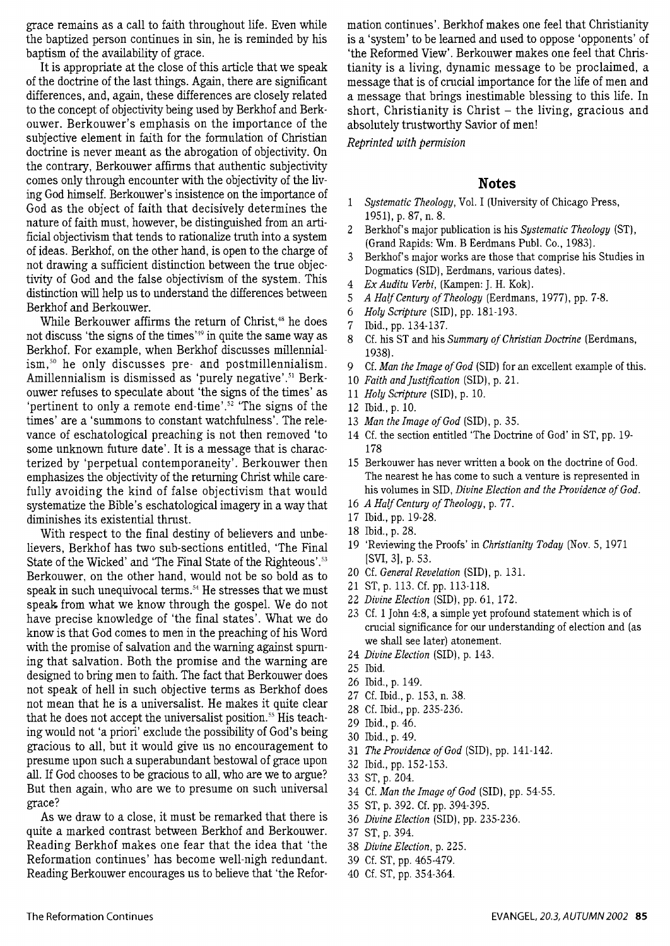grace remains as a call to faith throughout life. Even while the baptized person continues in sin, he is reminded by his baptism of the availability of grace.

It is appropriate at the close of this article that we speak of the doctrine of the last things. Again, there are significant differences, and, again, these differences are closely related to the concept of objectivity being used by Berkhof and Berkouwer. Berkouwer's emphasis on the importance of the subjective element in faith for the formulation of Christian doctrine is never meant as the abrogation of objectivity. On the contrary, Berkouwer affirms that authentic subjectivity comes only through encounter with the objectivity of the living God himself. Berkouwer's insistence on the importance of God as the object of faith that decisively determines the nature of faith must, however, be distinguished from an artificial objectivism that tends to rationalize truth into a system of ideas. Berkhof, on the other hand, is open to the charge of not drawing a sufficient distinction between the true objectivity of God and the false objectivism of the system. This distinction will help us to understand the differences between Berkhof and Berkouwer.

While Berkouwer affirms the return of Christ,<sup>48</sup> he does not discuss 'the signs of the times'<sup>49</sup> in quite the same way as Berkhof. For example, when Berkhof discusses millennialism, 50 he only discusses pre- and postmillennialism. Amillennialism is dismissed as 'purely negative'.<sup>51</sup> Berkouwer refuses to speculate about 'the signs of the times' as 'pertinent to only a remote end-time'.<sup>52</sup> 'The signs of the times' are a 'summons to constant watchfulness'. The relevance of eschatological preaching is not then removed 'to some unknown future date'. It is a message that is characterized by 'perpetual contemporaneity'. Berkouwer then emphasizes the objectivity of the returning Christ while carefully avoiding the kind of false objectivism that would systematize the Bible's eschatological imagery in a way that diminishes its existential thrust.

With respect to the final destiny of believers and unbelievers, Berkhof has two sub-sections entitled, 'The Final State of the Wicked' and 'The Final State of the Righteous' . 53 Berkouwer, on the other hand, would not be so bold as to speak in such unequivocal terms. 5 4 He stresses that we must speak. from what we know through the gospel. We do not have precise knowledge of 'the final states'. What we do know is that God comes to men in the preaching of his Word with the promise of salvation and the warning against spurning that salvation. Both the promise and the warning are designed to bring men to faith. The fact that Berkouwer does not speak of hell in such objective terms as Berkhof does not mean that he is a universalist. He makes it quite clear that he does not accept the universalist position. 55 His teaching would not 'a priori' exclude the possibility of God's being gracious to all, but it would give us no encouragement to presume upon such a superabundant bestowal of grace upon all. If God chooses to be gracious to all, who are we to argue? But then again, who are we to presume on such universal grace?

As we draw to a close, it must be remarked that there is quite a marked contrast between Berkhof and Berkouwer. Reading Berkhof makes one fear that the idea that 'the Reformation continues' has become well-nigh redundant. Reading Berkouwer encourages us to believe that 'the Reformation continues'. Berkhof makes one feel that Christianity is a 'system' to be learned and used to oppose 'opponents' of 'the Reformed View'. Berkouwer makes one feel that Christianity is a living, dynamic message to be proclaimed, a message that is of crucial importance for the life of men and a message that brings inestimable blessing to this life. In short, Christianity is Christ  $-$  the living, gracious and absolutely trustworthy Savior of men!

*Reprinted with permision* 

## **Notes**

- 1 *Systematic Theology,* Vol. I (University of Chicago Press, 1951), p. 87, n. 8.
- 2 Berkhof's major publication is his *Systematic Theology* (ST), (Grand Rapids: Wm. B Eerdmans Publ. Co., 1983).
- 3 Berkhof's major works are those that comprise his Studies in Dogmatics (SID), Eerdmans, various dates).
- 4 *Ex Auditu Verbi,* (Kampen: J. H. Kok).
- 5 *A Half Century of Theology* (Eerdmans, 1977), pp. 7-8.
- 6 *Holy Scripture* (SID). pp. 181-193.
- 7 Ibid., pp. 134-137.
- 8 Cf. his ST and his *Summary of Christian Doctrine* (Eerdmans, 1938).
- 9 Cf. *Man the Image of God* (SID) for an excellent example of this.
- 10 *Faith and justification* (SID), p. 21.
- 11 *Holy Scripture* (SID). p. 10.
- 12 Ibid., p. 10.
- 13 *Man the Image of God* (SID), p. 35.
- 14 Cf. the section entitled 'The Doctrine of God' in ST, pp. 19- 178
- 15 Berkouwer has never written a book on the doctrine of God. The nearest he has come to such a venture is represented in his volumes in SID, *Divine Election and the Providence of God.*
- 16 *A Half Century of Theology,* p. 77.
- 17 Ibid., pp. 19-28.
- 18 Ibid., p. 28.
- 19 'Reviewing the Proofs' in *Christianity Today* (Nov. 5, 1971 [SVI, 3], p. 53.
- 20 Cf. *General Revelation* (SID), p. 131.
- 21 ST, p. 113. Cf. pp. 113-118.
- 22 *Divine Election* (SID). pp. 61, 172.
- 23 Cf. 1 John 4:8, a simple yet profound statement which is of crucial significance for our understanding of election and (as we shall see later) atonement.
- 24 *Divine Election* (SID), p. 143.
- 25 Ibid.
- 26 Ibid., p. 149.
- 27 Cf. Ibid., p. 153, n. 38.
- 28 Cf. Ibid., pp. 235-236.
- 29 Ibid., p. 46.
- 30 Ibid., p. 49.
- 31 *The Providence of God* (SID), pp. 141-142.
- 32 Ibid., pp. 152-153.
- 33 ST, p. 204.
- 34 Cf. *Man the Image of God* (SID), pp. 54-SS.
- 35 ST, p. 392. Cf. pp. 394-395.
- 36 *Divine Election* (SID), pp. 235-236.
- 37 ST, p. 394.
- 38 *Divine Election,* p. 225.
- 39 Cf. ST, pp. 465-479.
- 40 Cf. ST, pp. 354-364.